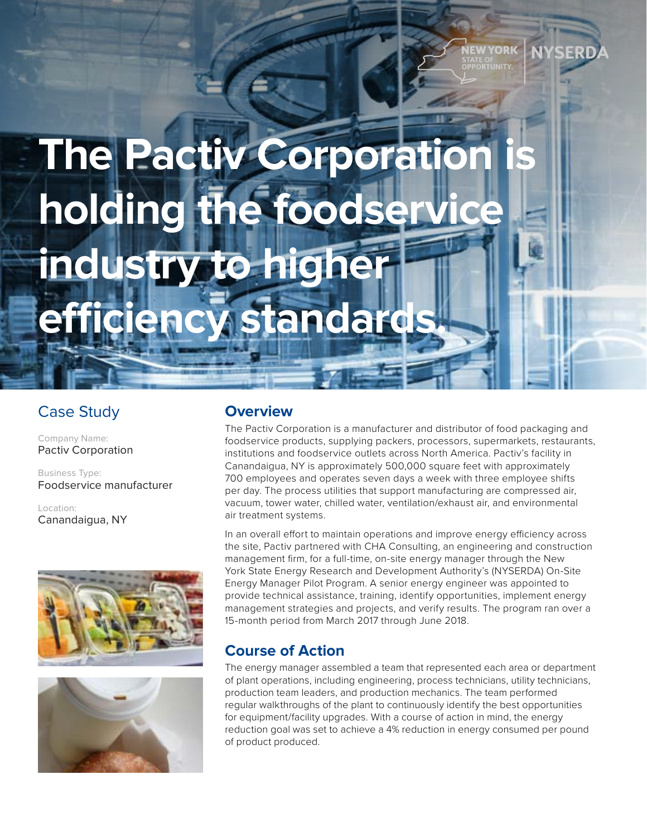# **The Pactiv Corporation holding the foodser industry to higher efficiency standards.**

## Case Study

Company Name: Pactiv Corporation

Business Type: Foodservice manufacturer

Location: Canandaigua, NY





#### **Overview**

The Pactiv Corporation is a manufacturer and distributor of food packaging and foodservice products, supplying packers, processors, supermarkets, restaurants, institutions and foodservice outlets across North America. Pactiv's facility in Canandaigua, NY is approximately 500,000 square feet with approximately 700 employees and operates seven days a week with three employee shifts per day. The process utilities that support manufacturing are compressed air, vacuum, tower water, chilled water, ventilation/exhaust air, and environmental air treatment systems.

In an overall effort to maintain operations and improve energy efficiency across the site, Pactiv partnered with CHA Consulting, an engineering and construction management firm, for a full-time, on-site energy manager through the New York State Energy Research and Development Authority's (NYSERDA) On-Site Energy Manager Pilot Program. A senior energy engineer was appointed to provide technical assistance, training, identify opportunities, implement energy management strategies and projects, and verify results. The program ran over a 15-month period from March 2017 through June 2018.

## **Course of Action**

The energy manager assembled a team that represented each area or department of plant operations, including engineering, process technicians, utility technicians, production team leaders, and production mechanics. The team performed regular walkthroughs of the plant to continuously identify the best opportunities for equipment/facility upgrades. With a course of action in mind, the energy reduction goal was set to achieve a 4% reduction in energy consumed per pound of product produced.